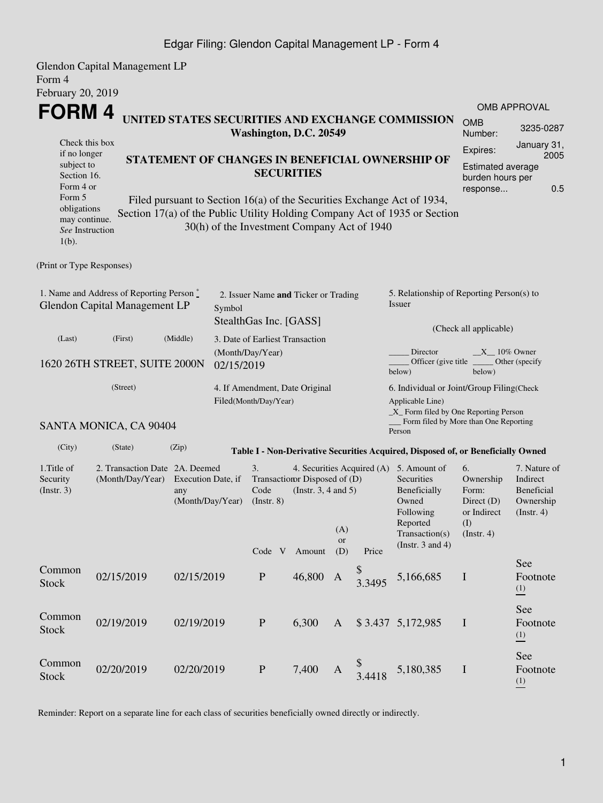Glendon Capital Management LP Form 4 February 20, 2019 **FORM 4** Check this box if no longer subject to Section 16. Form 4 or Form 5 obligations may continue. *See* Instruction 1(b). **UNITED STATES SECURITIES AND EXCHANGE COMMISSION Washington, D.C. 20549 STATEMENT OF CHANGES IN BENEFICIAL OWNERSHIP OF SECURITIES** Filed pursuant to Section 16(a) of the Securities Exchange Act of 1934, Section 17(a) of the Public Utility Holding Company Act of 1935 or Section 30(h) of the Investment Company Act of 1940 (Print or Type Responses) 1. Name and Address of Reporting Person \* Glendon Capital Management LP 2. Issuer Name **and** Ticker or Trading Symbol StealthGas Inc. [GASS] 5. Relationship of Reporting Person(s) to Issuer (Check all applicable) Director  $X_1 = 10\%$  Owner Officer (give title below) (Last) (First) (Middle) 1620 26TH STREET, SUITE 2000N 3. Date of Earliest Transaction (Month/Day/Year) 02/15/2019 (Street) SANTA MONICA, CA 90404 4. If Amendment, Date Original Filed(Month/Day/Year) 6. Individual or Joint/Group Filing(Check Applicable Line) \_X\_ Form filed by One Reporting Person Form filed by More than One Reporting Person (City) (State) (Zip) **Table I - Non-Derivative Securities Acquired, Disposed of, or Beneficially Owned** 1.Title of Security (Instr. 3) 2. Transaction Date 2A. Deemed (Month/Day/Year) Execution Date, if any (Month/Day/Year) 3. Transaction Disposed of (D) Code (Instr. 8) 4. Securities Acquired (A) 5. Amount of (Instr. 3, 4 and 5) Securities Beneficially Owned Following Reported Transaction(s) (Instr. 3 and 4) 6. Ownership Form: Direct (D) or Indirect (I) (Instr. 4) Code V Amount (A) or (D) Price Common Stock 02/15/2019 02/15/2019 <sup>P</sup> 46,800 <sup>A</sup> \$  $3.3495$  5,166,685 I Common Stock 02/19/2019 02/19/2019 P 6,300 A \$ 3.437 5,172,985 I Edgar Filing: Glendon Capital Management LP - Form 4

OMB Number: 3235-0287

OMB APPROVAL

Expires: January 31, 2005 Estimated average burden hours per response... 0.5

Other (specify

7. Nature of Indirect Beneficial Ownership  $(Insert. 4)$ 

See Footnote (1)

See Footnote (1)

See Footnote (1)

below)

Reminder: Report on a separate line for each class of securities beneficially owned directly or indirectly.

 $\frac{9}{3}$  4418

5,180,385 I

Stock 02/20/2019 02/20/2019 <sup>P</sup> 7,400 <sup>A</sup>

Common